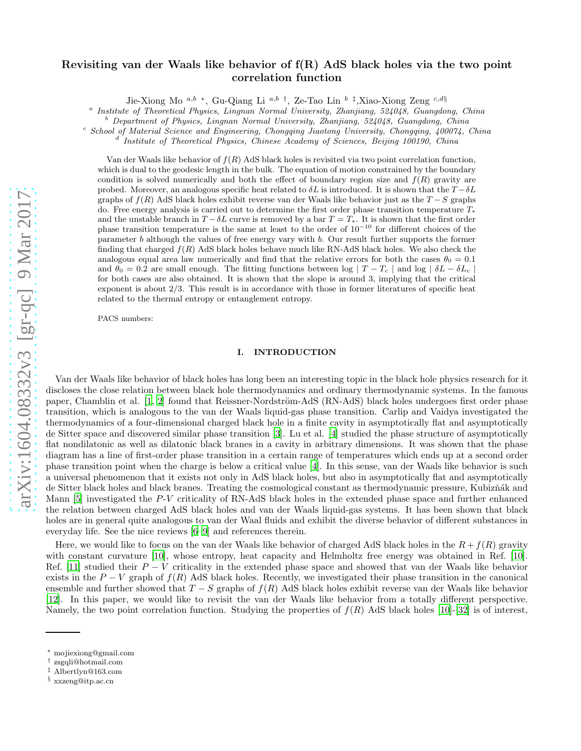# arXiv:1604.08332v3 [gr-qc] 9 Mar 2017 [arXiv:1604.08332v3 \[gr-qc\] 9 Mar 2017](http://arxiv.org/abs/1604.08332v3)

# Revisiting van der Waals like behavior of f(R) AdS black holes via the two point correlation function

Jie-Xiong Mo<sup>a,b</sup> \*, Gu-Qiang Li<sup>a,b†</sup>, Ze-Tao Lin<sup>b‡</sup>,Xiao-Xiong Zeng<sup>c,d§</sup>

<sup>a</sup> Institute of Theoretical Physics, Lingnan Normal University, Zhanjiang, 524048, Guangdong, China

 $b<sup>b</sup>$  Department of Physics, Lingnan Normal University, Zhanjiang, 524048, Guangdong, China

 $c^c$  School of Material Science and Engineering, Chongqing Jiaotong University, Chongqing, 400074, China

<sup>d</sup> Institute of Theoretical Physics, Chinese Academy of Sciences, Beijing 100190, China

Van der Waals like behavior of  $f(R)$  AdS black holes is revisited via two point correlation function, which is dual to the geodesic length in the bulk. The equation of motion constrained by the boundary condition is solved numerically and both the effect of boundary region size and  $f(R)$  gravity are probed. Moreover, an analogous specific heat related to  $\delta L$  is introduced. It is shown that the  $T - \delta L$ graphs of  $f(R)$  AdS black holes exhibit reverse van der Waals like behavior just as the  $T-S$  graphs do. Free energy analysis is carried out to determine the first order phase transition temperature T<sup>∗</sup> and the unstable branch in  $T - \delta L$  curve is removed by a bar  $T = T_*$ . It is shown that the first order phase transition temperature is the same at least to the order of 10<sup>−</sup><sup>10</sup> for different choices of the parameter b although the values of free energy vary with b. Our result further supports the former finding that charged  $f(R)$  AdS black holes behave much like RN-AdS black holes. We also check the analogous equal area law numerically and find that the relative errors for both the cases  $\theta_0 = 0.1$ and  $\theta_0 = 0.2$  are small enough. The fitting functions between log  $|T - T_c|$  and log  $|\delta L - \delta L_c|$ for both cases are also obtained. It is shown that the slope is around 3, implying that the critical exponent is about 2/3. This result is in accordance with those in former literatures of specific heat related to the thermal entropy or entanglement entropy.

PACS numbers:

### I. INTRODUCTION

Van der Waals like behavior of black holes has long been an interesting topic in the black hole physics research for it discloses the close relation between black hole thermodynamics and ordinary thermodynamic systems. In the famous paper, Chamblin et al. [\[1,](#page-8-0) [2](#page-8-1)] found that Reissner-Nordström-AdS (RN-AdS) black holes undergoes first order phase transition, which is analogous to the van der Waals liquid-gas phase transition. Carlip and Vaidya investigated the thermodynamics of a four-dimensional charged black hole in a finite cavity in asymptotically flat and asymptotically de Sitter space and discovered similar phase transition [\[3](#page-8-2)]. Lu et al. [\[4\]](#page-8-3) studied the phase structure of asymptotically flat nondilatonic as well as dilatonic black branes in a cavity in arbitrary dimensions. It was shown that the phase diagram has a line of first-order phase transition in a certain range of temperatures which ends up at a second order phase transition point when the charge is below a critical value [\[4](#page-8-3)]. In this sense, van der Waals like behavior is such a universal phenomenon that it exists not only in AdS black holes, but also in asymptotically flat and asymptotically de Sitter black holes and black branes. Treating the cosmological constant as thermodynamic pressure, Kubizňák and Mann [\[5\]](#page-8-4) investigated the P-V criticality of RN-AdS black holes in the extended phase space and further enhanced the relation between charged AdS black holes and van der Waals liquid-gas systems. It has been shown that black holes are in general quite analogous to van der Waal fluids and exhibit the diverse behavior of different substances in everyday life. See the nice reviews [\[6](#page-8-5)[–9\]](#page-8-6) and references therein.

Here, we would like to focus on the van der Waals like behavior of charged AdS black holes in the  $R + f(R)$  gravity with constant curvature [\[10](#page-8-7)], whose entropy, heat capacity and Helmholtz free energy was obtained in Ref. [\[10\]](#page-8-7). Ref. [\[11\]](#page-8-8) studied their  $P - V$  criticality in the extended phase space and showed that van der Waals like behavior exists in the  $P - V$  graph of  $f(R)$  AdS black holes. Recently, we investigated their phase transition in the canonical ensemble and further showed that  $T - S$  graphs of  $f(R)$  AdS black holes exhibit reverse van der Waals like behavior [\[12](#page-8-9)]. In this paper, we would like to revisit the van der Waals like behavior from a totally different perspective. Namely, the two point correlation function. Studying the properties of  $f(R)$  AdS black holes [\[10](#page-8-7)]-[\[32\]](#page-8-10) is of interest,

<sup>∗</sup> mojiexiong@gmail.com

<sup>†</sup> zsgqli@hotmail.com

<sup>‡</sup> Albertlyn@163.com

<sup>§</sup> xxzeng@itp.ac.cn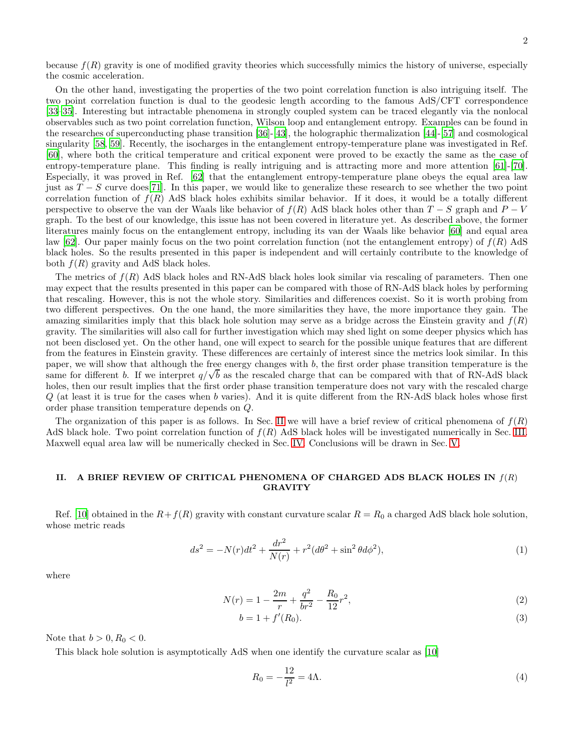because  $f(R)$  gravity is one of modified gravity theories which successfully mimics the history of universe, especially the cosmic acceleration.

On the other hand, investigating the properties of the two point correlation function is also intriguing itself. The two point correlation function is dual to the geodesic length according to the famous AdS/CFT correspondence [\[33](#page-8-11)[–35\]](#page-8-12). Interesting but intractable phenomena in strongly coupled system can be traced elegantly via the nonlocal observables such as two point correlation function, Wilson loop and entanglement entropy. Examples can be found in the researches of superconducting phase transition [\[36](#page-8-13)]-[\[43\]](#page-9-0), the holographic thermalization [\[44\]](#page-9-1)-[\[57](#page-9-2)] and cosmological singularity [\[58,](#page-9-3) [59](#page-9-4)]. Recently, the isocharges in the entanglement entropy-temperature plane was investigated in Ref. [\[60](#page-9-5)], where both the critical temperature and critical exponent were proved to be exactly the same as the case of entropy-temperature plane. This finding is really intriguing and is attracting more and more attention [\[61](#page-9-6)]-[\[70\]](#page-9-7). Especially, it was proved in Ref. [\[62](#page-9-8)] that the entanglement entropy-temperature plane obeys the equal area law just as  $T-S$  curve does[\[71\]](#page-9-9). In this paper, we would like to generalize these research to see whether the two point correlation function of  $f(R)$  AdS black holes exhibits similar behavior. If it does, it would be a totally different perspective to observe the van der Waals like behavior of  $f(R)$  AdS black holes other than  $T-S$  graph and  $P-V$ graph. To the best of our knowledge, this issue has not been covered in literature yet. As described above, the former literatures mainly focus on the entanglement entropy, including its van der Waals like behavior [\[60](#page-9-5)] and equal area law [\[62](#page-9-8)]. Our paper mainly focus on the two point correlation function (not the entanglement entropy) of  $f(R)$  AdS black holes. So the results presented in this paper is independent and will certainly contribute to the knowledge of both  $f(R)$  gravity and AdS black holes.

The metrics of  $f(R)$  AdS black holes and RN-AdS black holes look similar via rescaling of parameters. Then one may expect that the results presented in this paper can be compared with those of RN-AdS black holes by performing that rescaling. However, this is not the whole story. Similarities and differences coexist. So it is worth probing from two different perspectives. On the one hand, the more similarities they have, the more importance they gain. The amazing similarities imply that this black hole solution may serve as a bridge across the Einstein gravity and  $f(R)$ gravity. The similarities will also call for further investigation which may shed light on some deeper physics which has not been disclosed yet. On the other hand, one will expect to search for the possible unique features that are different from the features in Einstein gravity. These differences are certainly of interest since the metrics look similar. In this paper, we will show that although the free energy changes with b, the first order phase transition temperature is the same for different b. If we interpret  $q/\sqrt{b}$  as the rescaled charge that can be compared with that of RN-AdS black holes, then our result implies that the first order phase transition temperature does not vary with the rescaled charge  $Q$  (at least it is true for the cases when b varies). And it is quite different from the RN-AdS black holes whose first order phase transition temperature depends on Q.

The organization of this paper is as follows. In Sec. [II](#page-1-0) we will have a brief review of critical phenomena of  $f(R)$ AdS black hole. Two point correlation function of  $f(R)$  AdS black holes will be investigated numerically in Sec. [III.](#page-2-0) Maxwell equal area law will be numerically checked in Sec. [IV.](#page-3-0) Conclusions will be drawn in Sec. [V.](#page-6-0)

# <span id="page-1-0"></span>II. A BRIEF REVIEW OF CRITICAL PHENOMENA OF CHARGED ADS BLACK HOLES IN  $f(R)$ GRAVITY

Ref. [\[10](#page-8-7)] obtained in the  $R+f(R)$  gravity with constant curvature scalar  $R=R_0$  a charged AdS black hole solution, whose metric reads

$$
ds^{2} = -N(r)dt^{2} + \frac{dr^{2}}{N(r)} + r^{2}(d\theta^{2} + \sin^{2}\theta d\phi^{2}),
$$
\n(1)

where

$$
N(r) = 1 - \frac{2m}{r} + \frac{q^2}{br^2} - \frac{R_0}{12}r^2,
$$
\n(2)

$$
b = 1 + f'(R_0).
$$
 (3)

Note that  $b > 0, R_0 < 0$ .

This black hole solution is asymptotically AdS when one identify the curvature scalar as [\[10](#page-8-7)]

$$
R_0 = -\frac{12}{l^2} = 4\Lambda.
$$
 (4)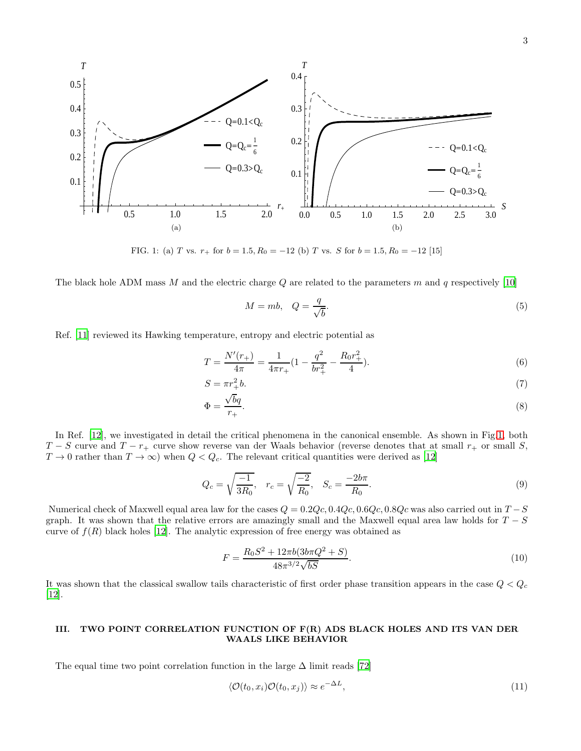

<span id="page-2-1"></span>FIG. 1: (a) T vs.  $r_+$  for  $b = 1.5, R_0 = -12$  (b) T vs. S for  $b = 1.5, R_0 = -12$  [15]

The black hole ADM mass M and the electric charge Q are related to the parameters m and q respectively [\[10\]](#page-8-7)

<span id="page-2-3"></span>
$$
M = mb, \quad Q = \frac{q}{\sqrt{b}}.\tag{5}
$$

Ref. [\[11\]](#page-8-8) reviewed its Hawking temperature, entropy and electric potential as

$$
T = \frac{N'(r_+)}{4\pi} = \frac{1}{4\pi r_+} \left(1 - \frac{q^2}{br_+^2} - \frac{R_0 r_+^2}{4}\right).
$$
\n<sup>(6)</sup>

$$
S = \pi r_+^2 b. \tag{7}
$$

$$
\Phi = \frac{\sqrt{b}q}{r_+}.\tag{8}
$$

In Ref. [\[12\]](#page-8-9), we investigated in detail the critical phenomena in the canonical ensemble. As shown in Fig[.1,](#page-2-1) both  $T-S$  curve and  $T-r_{+}$  curve show reverse van der Waals behavior (reverse denotes that at small  $r_{+}$  or small S,  $T \to 0$  rather than  $T \to \infty$ ) when  $Q < Q_c$ . The relevant critical quantities were derived as [\[12\]](#page-8-9)

<span id="page-2-2"></span>
$$
Q_c = \sqrt{\frac{-1}{3R_0}}, \quad r_c = \sqrt{\frac{-2}{R_0}}, \quad S_c = \frac{-2b\pi}{R_0}.
$$
\n(9)

Numerical check of Maxwell equal area law for the cases  $Q = 0.2Qc, 0.4Qc, 0.6Qc, 0.8Qc$  was also carried out in  $T-S$ graph. It was shown that the relative errors are amazingly small and the Maxwell equal area law holds for  $T-S$ curve of  $f(R)$  black holes [\[12\]](#page-8-9). The analytic expression of free energy was obtained as

$$
F = \frac{R_0 S^2 + 12\pi b (3b\pi Q^2 + S)}{48\pi^{3/2}\sqrt{bS}}.\tag{10}
$$

It was shown that the classical swallow tails characteristic of first order phase transition appears in the case  $Q < Q_c$ [\[12](#page-8-9)].

# <span id="page-2-0"></span>III. TWO POINT CORRELATION FUNCTION OF F(R) ADS BLACK HOLES AND ITS VAN DER WAALS LIKE BEHAVIOR

The equal time two point correlation function in the large  $\Delta$  limit reads [\[72\]](#page-9-10)

$$
\langle \mathcal{O}(t_0, x_i) \mathcal{O}(t_0, x_j) \rangle \approx e^{-\Delta L}, \tag{11}
$$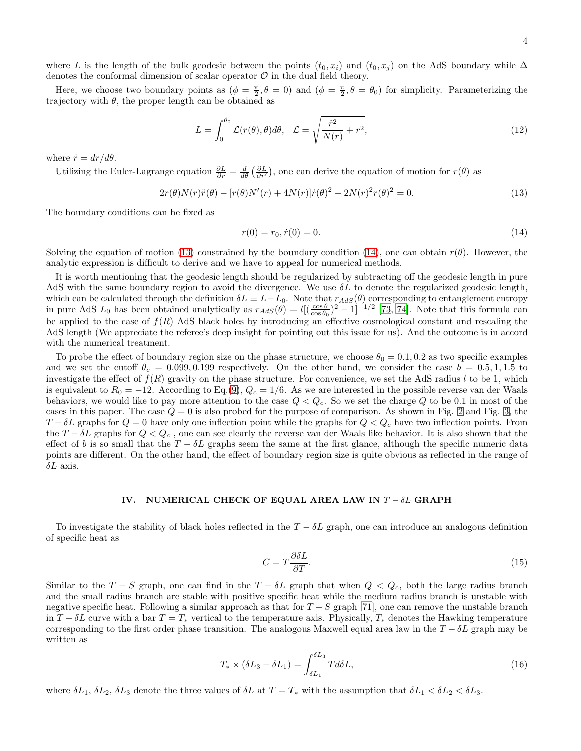where L is the length of the bulk geodesic between the points  $(t_0, x_i)$  and  $(t_0, x_j)$  on the AdS boundary while  $\Delta$ denotes the conformal dimension of scalar operator  $\mathcal O$  in the dual field theory.

Here, we choose two boundary points as  $(\phi = \frac{\pi}{2}, \theta = 0)$  and  $(\phi = \frac{\pi}{2}, \theta = \theta_0)$  for simplicity. Parameterizing the trajectory with  $\theta$ , the proper length can be obtained as

$$
L = \int_0^{\theta_0} \mathcal{L}(r(\theta), \theta) d\theta, \quad \mathcal{L} = \sqrt{\frac{\dot{r}^2}{N(r)} + r^2},\tag{12}
$$

where  $\dot{r} = dr/d\theta$ .

Utilizing the Euler-Lagrange equation  $\frac{\partial L}{\partial r} = \frac{d}{d\theta} \left( \frac{\partial L}{\partial r'} \right)$ , one can derive the equation of motion for  $r(\theta)$  as

<span id="page-3-1"></span>
$$
2r(\theta)N(r)\ddot{r}(\theta) - [r(\theta)N'(r) + 4N(r)]\dot{r}(\theta)^{2} - 2N(r)^{2}r(\theta)^{2} = 0.
$$
\n(13)

The boundary conditions can be fixed as

<span id="page-3-2"></span>
$$
r(0) = r_0, \dot{r}(0) = 0. \tag{14}
$$

Solving the equation of motion [\(13\)](#page-3-1) constrained by the boundary condition [\(14\)](#page-3-2), one can obtain  $r(\theta)$ . However, the analytic expression is difficult to derive and we have to appeal for numerical methods.

It is worth mentioning that the geodesic length should be regularized by subtracting off the geodesic length in pure AdS with the same boundary region to avoid the divergence. We use  $\delta L$  to denote the regularized geodesic length, which can be calculated through the definition  $\delta L \equiv L - L_0$ . Note that  $r_{AdS}(\theta)$  corresponding to entanglement entropy in pure AdS  $L_0$  has been obtained analytically as  $r_{AdS}(\theta) = l[(\frac{\cos \theta}{\cos \theta_0})^2 - 1]^{-1/2}$  [\[73,](#page-9-11) [74](#page-9-12)]. Note that this formula can be applied to the case of  $f(R)$  AdS black holes by introducing an effective cosmological constant and rescaling the AdS length (We appreciate the referee's deep insight for pointing out this issue for us). And the outcome is in accord with the numerical treatment.

To probe the effect of boundary region size on the phase structure, we choose  $\theta_0 = 0.1, 0.2$  as two specific examples and we set the cutoff  $\theta_c = 0.099, 0.199$  respectively. On the other hand, we consider the case  $b = 0.5, 1, 1.5$  to investigate the effect of  $f(R)$  gravity on the phase structure. For convenience, we set the AdS radius l to be 1, which is equivalent to  $R_0 = -12$ . According to Eq.[\(9\)](#page-2-2),  $Q_c = 1/6$ . As we are interested in the possible reverse van der Waals behaviors, we would like to pay more attention to the case  $Q < Q_c$ . So we set the charge Q to be 0.1 in most of the cases in this paper. The case  $Q = 0$  is also probed for the purpose of comparison. As shown in Fig. [2](#page-4-0) and Fig. [3,](#page-5-0) the  $T - \delta L$  graphs for  $Q = 0$  have only one inflection point while the graphs for  $Q < Q_c$  have two inflection points. From the  $T - \delta L$  graphs for  $Q < Q_c$ , one can see clearly the reverse van der Waals like behavior. It is also shown that the effect of b is so small that the  $T - \delta L$  graphs seem the same at the first glance, although the specific numeric data points are different. On the other hand, the effect of boundary region size is quite obvious as reflected in the range of  $\delta L$  axis.

# <span id="page-3-0"></span>IV. NUMERICAL CHECK OF EQUAL AREA LAW IN  $T - \delta L$  GRAPH

To investigate the stability of black holes reflected in the  $T - \delta L$  graph, one can introduce an analogous definition of specific heat as

$$
C = T \frac{\partial \delta L}{\partial T}.\tag{15}
$$

Similar to the  $T-S$  graph, one can find in the  $T-\delta L$  graph that when  $Q < Q_c$ , both the large radius branch and the small radius branch are stable with positive specific heat while the medium radius branch is unstable with negative specific heat. Following a similar approach as that for  $T-S$  graph [\[71\]](#page-9-9), one can remove the unstable branch in  $T - \delta L$  curve with a bar  $T = T_*$  vertical to the temperature axis. Physically,  $T_*$  denotes the Hawking temperature corresponding to the first order phase transition. The analogous Maxwell equal area law in the  $T - \delta L$  graph may be written as

<span id="page-3-3"></span>
$$
T_* \times (\delta L_3 - \delta L_1) = \int_{\delta L_1}^{\delta L_3} T d\delta L,\tag{16}
$$

where  $\delta L_1$ ,  $\delta L_2$ ,  $\delta L_3$  denote the three values of  $\delta L$  at  $T = T_*$  with the assumption that  $\delta L_1 < \delta L_2 < \delta L_3$ .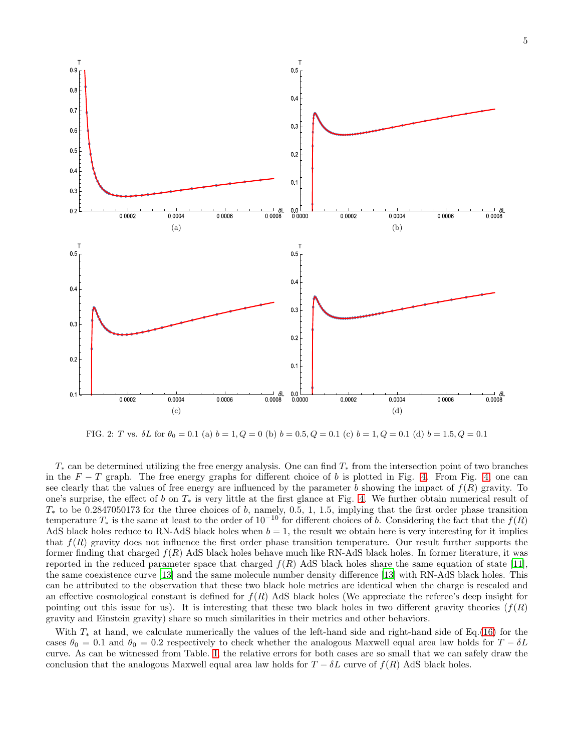

<span id="page-4-0"></span>FIG. 2: T vs.  $\delta L$  for  $\theta_0 = 0.1$  (a)  $b = 1, Q = 0$  (b)  $b = 0.5, Q = 0.1$  (c)  $b = 1, Q = 0.1$  (d)  $b = 1.5, Q = 0.1$ 

 $T_*$  can be determined utilizing the free energy analysis. One can find  $T_*$  from the intersection point of two branches in the  $F - T$  graph. The free energy graphs for different choice of b is plotted in Fig. [4.](#page-6-1) From Fig. [4,](#page-6-1) one can see clearly that the values of free energy are influenced by the parameter b showing the impact of  $f(R)$  gravity. To one's surprise, the effect of b on  $T_*$  is very little at the first glance at Fig. [4.](#page-6-1) We further obtain numerical result of  $T_*$  to be 0.2847050173 for the three choices of b, namely, 0.5, 1, 1.5, implying that the first order phase transition temperature  $T_*$  is the same at least to the order of  $10^{-10}$  for different choices of b. Considering the fact that the  $f(R)$ AdS black holes reduce to RN-AdS black holes when  $b = 1$ , the result we obtain here is very interesting for it implies that  $f(R)$  gravity does not influence the first order phase transition temperature. Our result further supports the former finding that charged  $f(R)$  AdS black holes behave much like RN-AdS black holes. In former literature, it was reported in the reduced parameter space that charged  $f(R)$  AdS black holes share the same equation of state [\[11\]](#page-8-8), the same coexistence curve [\[13\]](#page-8-14) and the same molecule number density difference [\[13\]](#page-8-14) with RN-AdS black holes. This can be attributed to the observation that these two black hole metrics are identical when the charge is rescaled and an effective cosmological constant is defined for  $f(R)$  AdS black holes (We appreciate the referee's deep insight for pointing out this issue for us). It is interesting that these two black holes in two different gravity theories  $(f(R))$ gravity and Einstein gravity) share so much similarities in their metrics and other behaviors.

With  $T_*$  at hand, we calculate numerically the values of the left-hand side and right-hand side of Eq.[\(16\)](#page-3-3) for the cases  $\theta_0 = 0.1$  and  $\theta_0 = 0.2$  respectively to check whether the analogous Maxwell equal area law holds for  $T - \delta L$ curve. As can be witnessed from Table. [I,](#page-5-1) the relative errors for both cases are so small that we can safely draw the conclusion that the analogous Maxwell equal area law holds for  $T - \delta L$  curve of  $f(R)$  AdS black holes.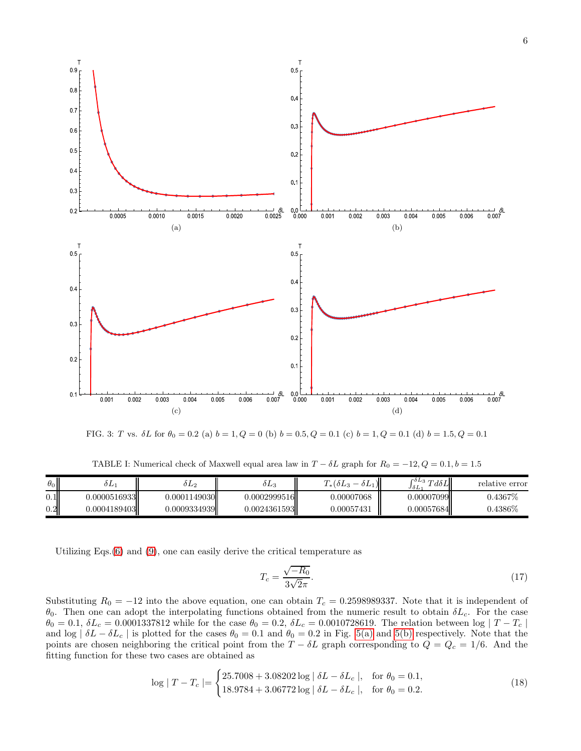

<span id="page-5-0"></span>FIG. 3: T vs.  $\delta L$  for  $\theta_0 = 0.2$  (a)  $b = 1, Q = 0$  (b)  $b = 0.5, Q = 0.1$  (c)  $b = 1, Q = 0.1$  (d)  $b = 1.5, Q = 0.1$ 

<span id="page-5-1"></span>TABLE I: Numerical check of Maxwell equal area law in  $T - \delta L$  graph for  $R_0 = -12, Q = 0.1, b = 1.5$ 

| $\theta_0$ | 9 L J         | 0 L 2        | $0L_3$       | $T_*(\delta L_3)$<br>$\vert$<br>$0L_1$ | $\int_{s}^{\delta L_3} T d\delta L$<br>JòL | relative error |
|------------|---------------|--------------|--------------|----------------------------------------|--------------------------------------------|----------------|
| $0.1\vert$ | J.0000516933L | 0.0001149030 | 0.0002999516 | 0.00007068                             | 0.00007099                                 | $0.4367\%$     |
| $0.2\,$    | J.0004189403  | 0.0009334939 | 0.0024361593 | 0.00057431                             | 0.00057684I                                | $0.4386\%$     |

Utilizing Eqs.[\(6\)](#page-2-3) and [\(9\)](#page-2-2), one can easily derive the critical temperature as

$$
T_c = \frac{\sqrt{-R_0}}{3\sqrt{2\pi}}.\tag{17}
$$

Substituting  $R_0 = -12$  into the above equation, one can obtain  $T_c = 0.2598989337$ . Note that it is independent of θ<sub>0</sub>. Then one can adopt the interpolating functions obtained from the numeric result to obtain δL<sub>c</sub>. For the case  $\theta_0 = 0.1, \, \delta L_c = 0.0001337812$  while for the case  $\theta_0 = 0.2, \, \delta L_c = 0.0010728619$ . The relation between log  $|T - T_c|$ and log  $\vert \delta L - \delta L_c \vert$  is plotted for the cases  $\theta_0 = 0.1$  and  $\theta_0 = 0.2$  in Fig. [5\(a\)](#page-7-0) and [5\(b\)](#page-7-1) respectively. Note that the points are chosen neighboring the critical point from the  $T - \delta L$  graph corresponding to  $Q = Q_c = 1/6$ . And the fitting function for these two cases are obtained as

$$
\log |T - T_c| = \begin{cases} 25.7008 + 3.08202 \log |\delta L - \delta L_c|, & \text{for } \theta_0 = 0.1, \\ 18.9784 + 3.06772 \log |\delta L - \delta L_c|, & \text{for } \theta_0 = 0.2. \end{cases}
$$
(18)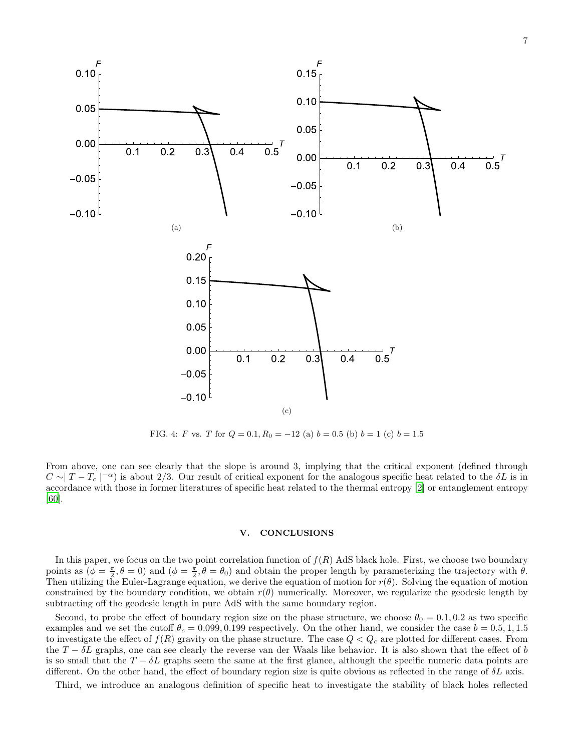

<span id="page-6-1"></span>FIG. 4: F vs. T for  $Q = 0.1, R_0 = -12$  (a)  $b = 0.5$  (b)  $b = 1$  (c)  $b = 1.5$ 

From above, one can see clearly that the slope is around 3, implying that the critical exponent (defined through  $C \sim |T - T_c|^{-\alpha}$  is about 2/3. Our result of critical exponent for the analogous specific heat related to the  $\delta L$  is in accordance with those in former literatures of specific heat related to the thermal entropy [\[2](#page-8-1)] or entanglement entropy [\[60](#page-9-5)].

# <span id="page-6-0"></span>V. CONCLUSIONS

In this paper, we focus on the two point correlation function of  $f(R)$  AdS black hole. First, we choose two boundary points as  $(\phi = \frac{\pi}{2}, \theta = 0)$  and  $(\phi = \frac{\pi}{2}, \theta = \theta_0)$  and obtain the proper length by parameterizing the trajectory with  $\theta$ . Then utilizing the Euler-Lagrange equation, we derive the equation of motion for  $r(\theta)$ . Solving the equation of motion constrained by the boundary condition, we obtain  $r(\theta)$  numerically. Moreover, we regularize the geodesic length by subtracting off the geodesic length in pure AdS with the same boundary region.

Second, to probe the effect of boundary region size on the phase structure, we choose  $\theta_0 = 0.1, 0.2$  as two specific examples and we set the cutoff  $\theta_c = 0.099, 0.199$  respectively. On the other hand, we consider the case  $b = 0.5, 1, 1.5$ to investigate the effect of  $f(R)$  gravity on the phase structure. The case  $Q < Q_c$  are plotted for different cases. From the  $T - \delta L$  graphs, one can see clearly the reverse van der Waals like behavior. It is also shown that the effect of b is so small that the  $T - \delta L$  graphs seem the same at the first glance, although the specific numeric data points are different. On the other hand, the effect of boundary region size is quite obvious as reflected in the range of  $\delta L$  axis.

Third, we introduce an analogous definition of specific heat to investigate the stability of black holes reflected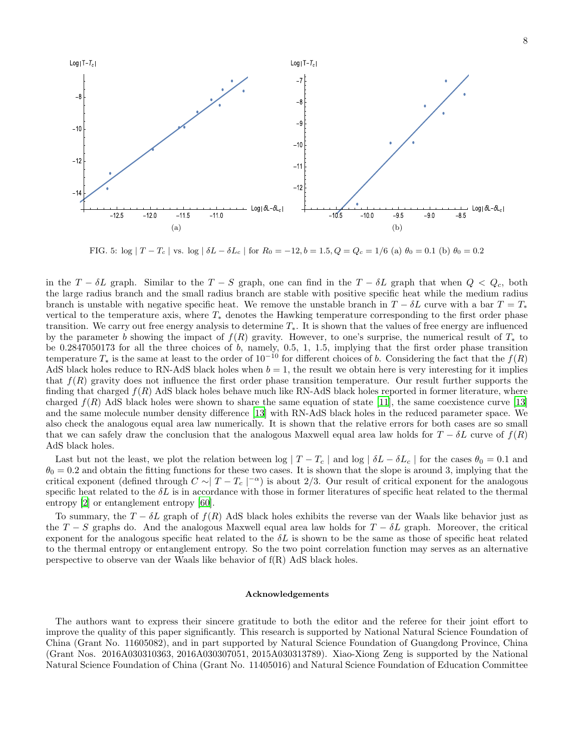

<span id="page-7-1"></span><span id="page-7-0"></span>FIG. 5:  $\log |T - T_c|$  vs.  $\log |\delta L - \delta L_c|$  for  $R_0 = -12, b = 1.5, Q = Q_c = 1/6$  (a)  $\theta_0 = 0.1$  (b)  $\theta_0 = 0.2$ 

in the  $T - \delta L$  graph. Similar to the  $T - S$  graph, one can find in the  $T - \delta L$  graph that when  $Q < Q_c$ , both the large radius branch and the small radius branch are stable with positive specific heat while the medium radius branch is unstable with negative specific heat. We remove the unstable branch in  $T - \delta L$  curve with a bar  $T = T_*$ vertical to the temperature axis, where  $T_*$  denotes the Hawking temperature corresponding to the first order phase transition. We carry out free energy analysis to determine  $T_{*}$ . It is shown that the values of free energy are influenced by the parameter b showing the impact of  $f(R)$  gravity. However, to one's surprise, the numerical result of  $T_*$  to be  $0.2847050173$  for all the three choices of b, namely,  $0.5$ , 1, 1.5, implying that the first order phase transition temperature  $T_*$  is the same at least to the order of  $10^{-10}$  for different choices of b. Considering the fact that the  $f(R)$ AdS black holes reduce to RN-AdS black holes when  $b = 1$ , the result we obtain here is very interesting for it implies that  $f(R)$  gravity does not influence the first order phase transition temperature. Our result further supports the finding that charged  $f(R)$  AdS black holes behave much like RN-AdS black holes reported in former literature, where charged  $f(R)$  AdS black holes were shown to share the same equation of state [\[11\]](#page-8-8), the same coexistence curve [\[13\]](#page-8-14) and the same molecule number density difference [\[13\]](#page-8-14) with RN-AdS black holes in the reduced parameter space. We also check the analogous equal area law numerically. It is shown that the relative errors for both cases are so small that we can safely draw the conclusion that the analogous Maxwell equal area law holds for  $T - \delta L$  curve of  $f(R)$ AdS black holes.

Last but not the least, we plot the relation between log  $|T - T_c|$  and log  $|\delta L - \delta L_c|$  for the cases  $\theta_0 = 0.1$  and  $\theta_0 = 0.2$  and obtain the fitting functions for these two cases. It is shown that the slope is around 3, implying that the critical exponent (defined through  $C \sim |T - T_c|^{-\alpha}$ ) is about 2/3. Our result of critical exponent for the analogous specific heat related to the  $\delta L$  is in accordance with those in former literatures of specific heat related to the thermal entropy [\[2](#page-8-1)] or entanglement entropy [\[60](#page-9-5)].

To summary, the  $T - \delta L$  graph of  $f(R)$  AdS black holes exhibits the reverse van der Waals like behavior just as the  $T-S$  graphs do. And the analogous Maxwell equal area law holds for  $T - \delta L$  graph. Moreover, the critical exponent for the analogous specific heat related to the  $\delta L$  is shown to be the same as those of specific heat related to the thermal entropy or entanglement entropy. So the two point correlation function may serves as an alternative perspective to observe van der Waals like behavior of f(R) AdS black holes.

### Acknowledgements

The authors want to express their sincere gratitude to both the editor and the referee for their joint effort to improve the quality of this paper significantly. This research is supported by National Natural Science Foundation of China (Grant No. 11605082), and in part supported by Natural Science Foundation of Guangdong Province, China (Grant Nos. 2016A030310363, 2016A030307051, 2015A030313789). Xiao-Xiong Zeng is supported by the National Natural Science Foundation of China (Grant No. 11405016) and Natural Science Foundation of Education Committee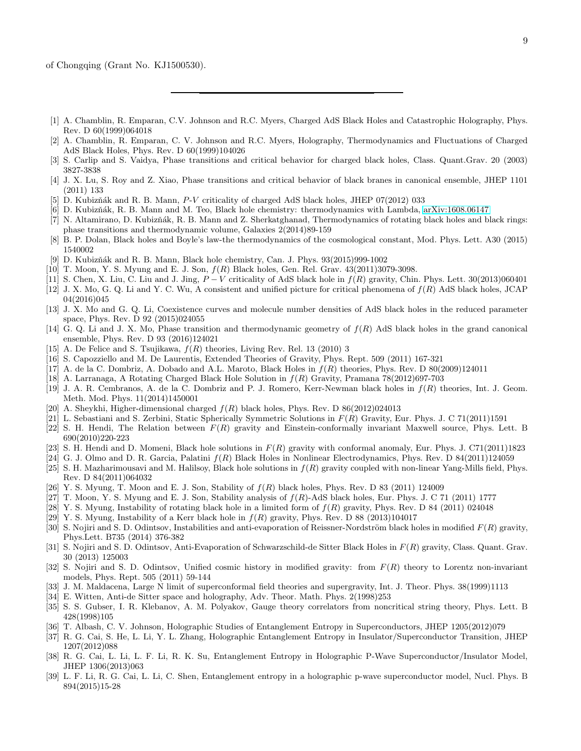- <span id="page-8-0"></span>[1] A. Chamblin, R. Emparan, C.V. Johnson and R.C. Myers, Charged AdS Black Holes and Catastrophic Holography, Phys. Rev. D 60(1999)064018
- <span id="page-8-1"></span>[2] A. Chamblin, R. Emparan, C. V. Johnson and R.C. Myers, Holography, Thermodynamics and Fluctuations of Charged AdS Black Holes, Phys. Rev. D 60(1999)104026
- <span id="page-8-2"></span>[3] S. Carlip and S. Vaidya, Phase transitions and critical behavior for charged black holes, Class. Quant.Grav. 20 (2003) 3827-3838
- <span id="page-8-3"></span>[4] J. X. Lu, S. Roy and Z. Xiao, Phase transitions and critical behavior of black branes in canonical ensemble, JHEP 1101 (2011) 133
- <span id="page-8-4"></span>[5] D. Kubizňák and R. B. Mann, P-V criticality of charged AdS black holes, JHEP 07(2012) 033
- <span id="page-8-5"></span>[6] D. Kubizˇn´ak, R. B. Mann and M. Teo, Black hole chemistry: thermodynamics with Lambda, [arXiv:1608.06147](http://arxiv.org/abs/1608.06147)
- [7] N. Altamirano, D. Kubizňák, R. B. Mann and Z. Sherkatghanad, Thermodynamics of rotating black holes and black rings: phase transitions and thermodynamic volume, Galaxies 2(2014)89-159
- [8] B. P. Dolan, Black holes and Boyle's law-the thermodynamics of the cosmological constant, Mod. Phys. Lett. A30 (2015) 1540002
- <span id="page-8-6"></span>[9] D. Kubizňák and R. B. Mann, Black hole chemistry, Can. J. Phys.  $93(2015)999-1002$
- <span id="page-8-7"></span>[10] T. Moon, Y. S. Myung and E. J. Son,  $f(R)$  Black holes, Gen. Rel. Grav. 43(2011)3079-3098.
- <span id="page-8-8"></span>[11] S. Chen, X. Liu, C. Liu and J. Jing,  $P - V$  criticality of AdS black hole in  $f(R)$  gravity, Chin. Phys. Lett. 30(2013)060401
- <span id="page-8-9"></span>[12] J. X. Mo, G. Q. Li and Y. C. Wu, A consistent and unified picture for critical phenomena of f(R) AdS black holes, JCAP 04(2016)045
- <span id="page-8-14"></span>[13] J. X. Mo and G. Q. Li, Coexistence curves and molecule number densities of AdS black holes in the reduced parameter space, Phys. Rev. D 92 (2015)024055
- [14] G. Q. Li and J. X. Mo, Phase transition and thermodynamic geometry of  $f(R)$  AdS black holes in the grand canonical ensemble, Phys. Rev. D 93 (2016)124021
- [15] A. De Felice and S. Tsujikawa,  $f(R)$  theories, Living Rev. Rel. 13 (2010) 3
- [16] S. Capozziello and M. De Laurentis, Extended Theories of Gravity, Phys. Rept. 509 (2011) 167-321
- [17] A. de la C. Dombriz, A. Dobado and A.L. Maroto, Black Holes in f(R) theories, Phys. Rev. D 80(2009)124011
- [18] A. Larranaga, A Rotating Charged Black Hole Solution in f(R) Gravity, Pramana 78(2012)697-703
- [19] J. A. R. Cembranos, A. de la C. Dombriz and P. J. Romero, Kerr-Newman black holes in f(R) theories, Int. J. Geom. Meth. Mod. Phys. 11(2014)1450001
- [20] A. Sheykhi, Higher-dimensional charged  $f(R)$  black holes, Phys. Rev. D 86(2012)024013
- [21] L. Sebastiani and S. Zerbini, Static Spherically Symmetric Solutions in  $F(R)$  Gravity, Eur. Phys. J. C 71(2011)1591
- [22] S. H. Hendi, The Relation between  $F(R)$  gravity and Einstein-conformally invariant Maxwell source, Phys. Lett. B 690(2010)220-223
- [23] S. H. Hendi and D. Momeni, Black hole solutions in  $F(R)$  gravity with conformal anomaly, Eur. Phys. J. C71(2011)1823
- [24] G. J. Olmo and D. R. Garcia, Palatini  $f(R)$  Black Holes in Nonlinear Electrodynamics, Phys. Rev. D 84(2011)124059
- [25] S. H. Mazharimousavi and M. Halilsoy, Black hole solutions in  $f(R)$  gravity coupled with non-linear Yang-Mills field, Phys. Rev. D 84(2011)064032
- [26] Y. S. Myung, T. Moon and E. J. Son, Stability of  $f(R)$  black holes, Phys. Rev. D 83 (2011) 124009
- [27] T. Moon, Y. S. Myung and E. J. Son, Stability analysis of  $f(R)$ -AdS black holes, Eur. Phys. J. C 71 (2011) 1777
- [28] Y. S. Myung, Instability of rotating black hole in a limited form of  $f(R)$  gravity, Phys. Rev. D 84 (2011) 024048
- [29] Y. S. Myung, Instability of a Kerr black hole in  $f(R)$  gravity, Phys. Rev. D 88 (2013)104017
- [30] S. Nojiri and S. D. Odintsov, Instabilities and anti-evaporation of Reissner-Nordström black holes in modified  $F(R)$  gravity, Phys.Lett. B735 (2014) 376-382
- [31] S. Nojiri and S. D. Odintsov, Anti-Evaporation of Schwarzschild-de Sitter Black Holes in F(R) gravity, Class. Quant. Grav. 30 (2013) 125003
- <span id="page-8-10"></span>[32] S. Nojiri and S. D. Odintsov, Unified cosmic history in modified gravity: from  $F(R)$  theory to Lorentz non-invariant models, Phys. Rept. 505 (2011) 59-144
- <span id="page-8-11"></span>[33] J. M. Maldacena, Large N limit of superconformal field theories and supergravity, Int. J. Theor. Phys. 38(1999)1113
- [34] E. Witten, Anti-de Sitter space and holography, Adv. Theor. Math. Phys. 2(1998)253
- <span id="page-8-12"></span>[35] S. S. Gubser, I. R. Klebanov, A. M. Polyakov, Gauge theory correlators from noncritical string theory, Phys. Lett. B 428(1998)105
- <span id="page-8-13"></span>[36] T. Albash, C. V. Johnson, Holographic Studies of Entanglement Entropy in Superconductors, JHEP 1205(2012)079
- [37] R. G. Cai, S. He, L. Li, Y. L. Zhang, Holographic Entanglement Entropy in Insulator/Superconductor Transition, JHEP 1207(2012)088
- [38] R. G. Cai, L. Li, L. F. Li, R. K. Su, Entanglement Entropy in Holographic P-Wave Superconductor/Insulator Model, JHEP 1306(2013)063
- [39] L. F. Li, R. G. Cai, L. Li, C. Shen, Entanglement entropy in a holographic p-wave superconductor model, Nucl. Phys. B 894(2015)15-28